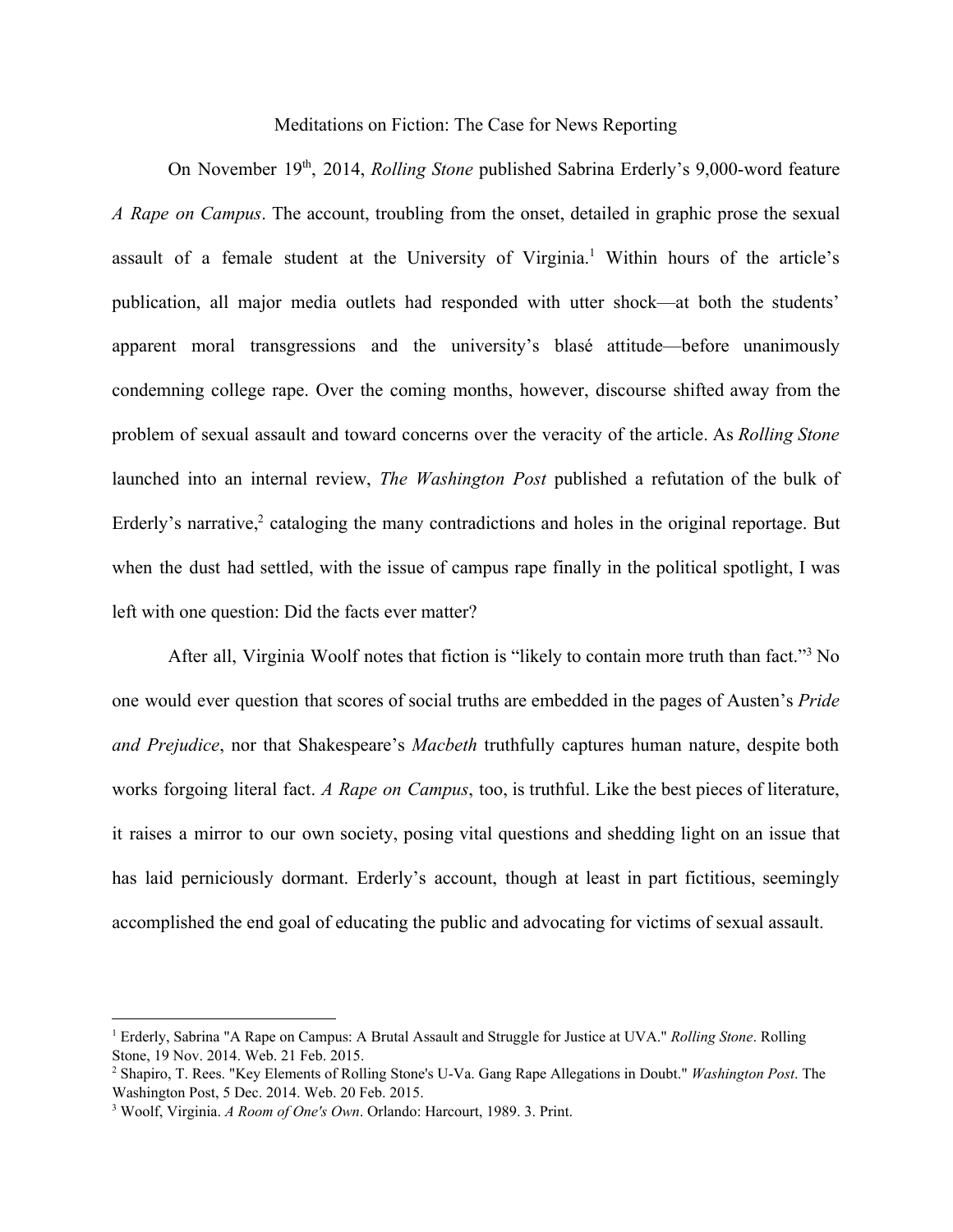Meditations on Fiction: The Case for News Reporting

On November 19<sup>th</sup>, 2014, *Rolling Stone* published Sabrina Erderly's 9,000-word feature *A Rape on Campus*. The account, troubling from the onset, detailed in graphic prose the sexual assault of a female student at the University of Virginia.<sup>1</sup> Within hours of the article's publication, all major media outlets had responded with utter shock—at both the students' apparent moral transgressions and the university's blasé attitude—before unanimously condemning college rape. Over the coming months, however, discourse shifted away from the problem of sexual assault and toward concerns over the veracity of the article. As *Rolling Stone* launched into an internal review, *The Washington Post* published a refutation of the bulk of Erderly's narrative, $\frac{2}{3}$  cataloging the many contradictions and holes in the original reportage. But when the dust had settled, with the issue of campus rape finally in the political spotlight, I was left with one question: Did the facts ever matter?

After all, Virginia Woolf notes that fiction is "likely to contain more truth than fact."<sup>3</sup> No one would ever question that scores of social truths are embedded in the pages of Austen's *Pride and Prejudice*, nor that Shakespeare's *Macbeth* truthfully captures human nature, despite both works forgoing literal fact. *A Rape on Campus*, too, is truthful. Like the best pieces of literature, it raises a mirror to our own society, posing vital questions and shedding light on an issue that has laid perniciously dormant. Erderly's account, though at least in part fictitious, seemingly accomplished the end goal of educating the public and advocating for victims of sexual assault.

<sup>1</sup> Erderly, Sabrina "A Rape on Campus: A Brutal Assault and Struggle for Justice at UVA." *Rolling Stone*. Rolling Stone, 19 Nov. 2014. Web. 21 Feb. 2015.

<sup>&</sup>lt;sup>2</sup> Shapiro, T. Rees. "Key Elements of Rolling Stone's U-Va. Gang Rape Allegations in Doubt." *Washington Post*. The Washington Post, 5 Dec. 2014. Web. 20 Feb. 2015.

<sup>3</sup> Woolf, Virginia. *A Room of One's Own*. Orlando: Harcourt, 1989. 3. Print.